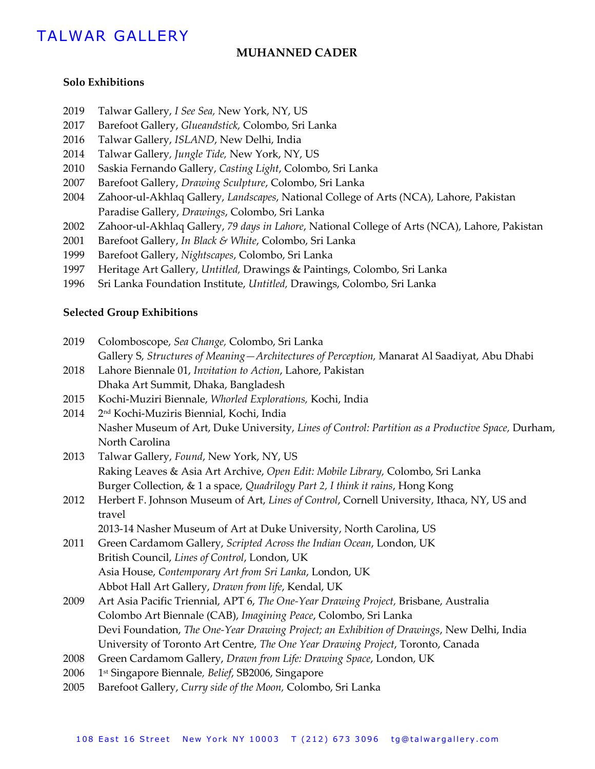# TALWAR GALLERY

## **MUHANNED CADER**

#### **Solo Exhibitions**

- 2019 Talwar Gallery, *I See Sea,* New York, NY, US
- 2017 Barefoot Gallery, *Glueandstick,* Colombo, Sri Lanka
- 2016 Talwar Gallery, *ISLAND*, New Delhi, India
- 2014 Talwar Gallery*, Jungle Tide,* New York, NY, US
- 2010 Saskia Fernando Gallery, *Casting Light*, Colombo, Sri Lanka
- 2007 Barefoot Gallery, *Drawing Sculpture*, Colombo, Sri Lanka
- 2004 Zahoor-ul-Akhlaq Gallery, *Landscapes*, National College of Arts (NCA), Lahore, Pakistan Paradise Gallery, *Drawings*, Colombo, Sri Lanka
- 2002 Zahoor-ul-Akhlaq Gallery, *79 days in Lahore*, National College of Arts (NCA), Lahore, Pakistan
- 2001 Barefoot Gallery, *In Black & White*, Colombo, Sri Lanka
- 1999 Barefoot Gallery, *Nightscapes*, Colombo, Sri Lanka
- 1997 Heritage Art Gallery, *Untitled,* Drawings & Paintings, Colombo, Sri Lanka
- 1996 Sri Lanka Foundation Institute, *Untitled,* Drawings, Colombo, Sri Lanka

#### **Selected Group Exhibitions**

- 2019 Colomboscope, *Sea Change,* Colombo, Sri Lanka Gallery S, *Structures of Meaning—Architectures of Perception,* Manarat Al Saadiyat, Abu Dhabi
- 2018 Lahore Biennale 01, *Invitation to Action*, Lahore, Pakistan Dhaka Art Summit, Dhaka, Bangladesh
- 2015 Kochi-Muziri Biennale, *Whorled Explorations,* Kochi, India
- 2014 2<sup>nd</sup> Kochi-Muziris Biennial, Kochi, India Nasher Museum of Art, Duke University, *Lines of Control: Partition as a Productive Space,* Durham, North Carolina
- 2013 Talwar Gallery, *Found*, New York, NY, US Raking Leaves & Asia Art Archive, *Open Edit: Mobile Library,* Colombo, Sri Lanka Burger Collection, & 1 a space, *Quadrilogy Part 2, I think it rains*, Hong Kong
- 2012 Herbert F. Johnson Museum of Art, *Lines of Control*, Cornell University, Ithaca, NY, US and travel

2013-14 Nasher Museum of Art at Duke University, North Carolina, US

- 2011 Green Cardamom Gallery, *Scripted Across the Indian Ocean*, London, UK British Council, *Lines of Control*, London, UK Asia House, *Contemporary Art from Sri Lanka*, London, UK Abbot Hall Art Gallery, *Drawn from life*, Kendal, UK
- 2009 Art Asia Pacific Triennial, APT 6, *The One-Year Drawing Project,* Brisbane, Australia Colombo Art Biennale (CAB), *Imagining Peace*, Colombo, Sri Lanka Devi Foundation, *The One-Year Drawing Project; an Exhibition of Drawings*, New Delhi, India University of Toronto Art Centre, *The One Year Drawing Project*, Toronto, Canada
- 2008 Green Cardamom Gallery, *Drawn from Life: Drawing Space*, London, UK
- 2006 st Singapore Biennale*, Belief*, SB2006, Singapore
- 2005 Barefoot Gallery, *Curry side of the Moon,* Colombo, Sri Lanka